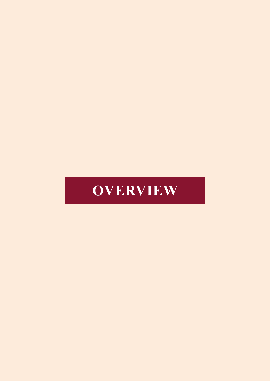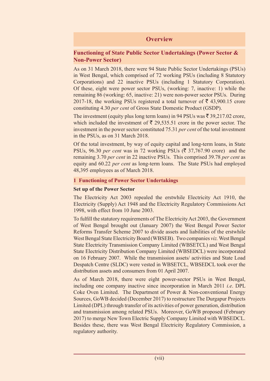# **Overview**

### **Functioning of State Public Sector Undertakings (Power Sector & Non-Power Sector)**

As on 31 March 2018, there were 94 State Public Sector Undertakings (PSUs) in West Bengal, which comprised of 72 working PSUs (including 8 Statutory Corporations) and 22 inactive PSUs (including 1 Statutory Corporation). Of these, eight were power sector PSUs, (working: 7, inactive: 1) while the remaining 86 (working: 65, inactive: 21) were non-power sector PSUs. During 2017-18, the working PSUs registered a total turnover of  $\bar{\tau}$  43,900.15 crore constituting 4.30 *per cent* of Gross State Domestic Product (GSDP).

The investment (equity plus long term loans) in 94 PSUs was  $\bar{\tau}$  39,217.02 crore, which included the investment of  $\bar{\tau}$  29,535.51 crore in the power sector. The investment in the power sector constituted 75.31 *per cent* of the total investment in the PSUs, as on 31 March 2018.

Of the total investment, by way of equity capital and long-term loans, in State PSUs, 96.30 *per cent* was in 72 working PSUs ( $\bar{\xi}$  37,767.90 crore) and the remaining 3.70 *per cent* in 22 inactive PSUs. This comprised 39.78 *per cent* as equity and 60.22 *per cent* as long-term loans. The State PSUs had employed 48,395 employees as of March 2018.

#### **1 Functioning of Power Sector Undertakings**

#### **Set up of the Power Sector**

The Electricity Act 2003 repealed the erstwhile Electricity Act 1910, the Electricity (Supply) Act 1948 and the Electricity Regulatory Commissions Act 1998, with effect from 10 June 2003.

To fulfill the statutory requirements of The Electricity Act 2003, the Government of West Bengal brought out (January 2007) the West Bengal Power Sector Reforms Transfer Scheme 2007 to divide assets and liabilities of the erstwhile West Bengal State Electricity Board (WBSEB). Two companies *viz.* West Bengal State Electricity Transmission Company Limited (WBSETCL) and West Bengal State Electricity Distribution Company Limited (WBSEDCL) were incorporated on 16 February 2007. While the transmission assets/ activities and State Load Despatch Centre (SLDC) were vested in WBSETCL, WBSEDCL took over the distribution assets and consumers from 01 April 2007.

As of March 2018, there were eight power-sector PSUs in West Bengal, including one company inactive since incorporation in March 2011 *i.e*. DPL Coke Oven Limited. The Department of Power & Non-conventional Energy Sources, GoWB decided (December 2017) to restructure The Durgapur Projects Limited (DPL) through transfer of its activities of power generation, distribution and transmission among related PSUs. Moreover, GoWB proposed (February 2017) to merge New Town Electric Supply Company Limited with WBSEDCL. Besides these, there was West Bengal Electricity Regulatory Commission, a regulatory authority.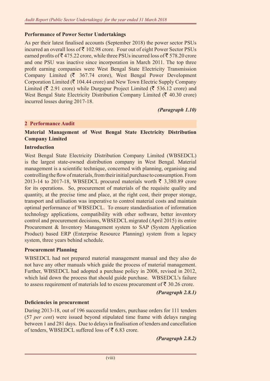#### **Performance of Power Sector Undertakings**

As per their latest finalised accounts (September 2018) the power sector PSUs incurred an overall loss of  $\bar{\tau}$  102.98 crore. Four out of eight Power Sector PSUs earned profits of  $\bar{\tau}$  475.22 crore, while three PSUs incurred loss of  $\bar{\tau}$  578.20 crore and one PSU was inactive since incorporation in March 2011. The top three profit earning companies were West Bengal State Electricity Transmission Company Limited ( $\bar{\tau}$  367.74 crore), West Bengal Power Development Corporation Limited ( $\bar{\tau}$  104.44 crore) and New Town Electric Supply Company Limited ( $\bar{\tau}$  2.91 crore) while Durgapur Project Limited ( $\bar{\tau}$  536.12 crore) and West Bengal State Electricity Distribution Company Limited ( $\bar{\tau}$  40.30 crore) incurred losses during 2017-18.

*(Paragraph 1.10)*

#### **2 Performance Audit**

#### **Material Management of West Bengal State Electricity Distribution Company Limited**

#### **Introduction**

West Bengal State Electricity Distribution Company Limited (WBSEDCL) is the largest state-owned distribution company in West Bengal. Material management is a scientific technique, concerned with planning, organising and controlling the flow of materials, from their initial purchase to consumption. From 2013-14 to 2017-18, WBSEDCL procured materials worth  $\bar{\xi}$  3,380.89 crore for its operations. So, procurement of materials of the requisite quality and quantity, at the precise time and place, at the right cost, their proper storage, transport and utilisation was imperative to control material costs and maintain optimal performance of WBSEDCL. To ensure standardisation of information technology applications, compatibility with other software, better inventory control and procurement decisions, WBSEDCL migrated (April 2015) its entire Procurement & Inventory Management system to SAP (System Application Product) based ERP (Enterprise Resource Planning) system from a legacy system, three years behind schedule.

#### **Procurement Planning**

WBSEDCL had not prepared material management manual and they also do not have any other manuals which guide the process of material management. Further, WBSEDCL had adopted a purchase policy in 2008, revised in 2012, which laid down the process that should guide purchase. WBSEDCL's failure to assess requirement of materials led to excess procurement of  $\bar{\tau}$  30.26 crore.

#### *(Paragraph 2.8.1)*

#### **Deficiencies in procurement**

During 2013-18, out of 196 successful tenders, purchase orders for 111 tenders (57 *per cent*) were issued beyond stipulated time frame with delays ranging between 1 and 281 days. Due to delays in finalisation of tenders and cancellation of tenders, WBSEDCL suffered loss of  $\bar{z}$  6.83 crore.

*(Paragraph 2.8.2)*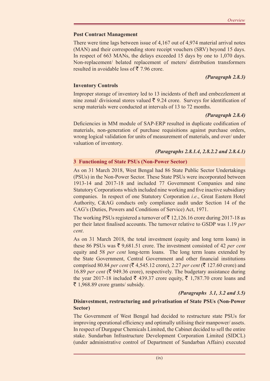## **Post Contract Management**

There were time lags between issue of 4,167 out of 4,974 material arrival notes (MAN) and their corresponding store receipt vouchers (SRV) beyond 15 days. In respect of 663 MANs, the delays exceeded 15 days by one to 1,070 days. Non-replacement/ belated replacement of meters/ distribution transformers resulted in avoidable loss of  $\bar{\tau}$  7.96 crore.

# *(Paragraph 2.8.3)*

## **Inventory Controls**

Improper storage of inventory led to 13 incidents of theft and embezzlement at nine zonal/ divisional stores valued  $\bar{\tau}$  9.24 crore. Surveys for identification of scrap materials were conducted at intervals of 13 to 72 months.

## *(Paragraph 2.8.4)*

Deficiencies in MM module of SAP-ERP resulted in duplicate codification of materials, non-generation of purchase requisitions against purchase orders, wrong logical validation for units of measurement of materials, and over/ under valuation of inventory.

## *(Paragraphs 2.8.1.4, 2.8.2.2 and 2.8.4.1)*

## **3 Functioning of State PSUs (Non-Power Sector)**

As on 31 March 2018, West Bengal had 86 State Public Sector Undertakings (PSUs) in the Non-Power Sector. These State PSUs were incorporated between 1913-14 and 2017-18 and included 77 Government Companies and nine Statutory Corporations which included nine working and five inactive subsidiary companies. In respect of one Statutory Corporation *i.e*., Great Eastern Hotel Authority, C&AG conducts only compliance audit under Section 14 of the CAG's (Duties, Powers and Conditions of Service) Act, 1971.

The working PSUs registered a turnover of  $\bar{\tau}$  12,126.16 crore during 2017-18 as per their latest finalised accounts. The turnover relative to GSDP was 1.19 *per cent*.

As on 31 March 2018, the total investment (equity and long term loans) in these 86 PSUs was  $\bar{\tau}$  9,681.51 crore. The investment consisted of 42 *per cent* equity and 58 *per cent* long-term loans. The long term loans extended by the State Government, Central Government and other financial institutions comprised 80.84 *per cent* ( $\bar{\mathcal{F}}$  4,545.12 crore), 2.27 *per cent* ( $\bar{\mathcal{F}}$  127.60 crore) and 16.89 *per cent* ( $\bar{\mathcal{F}}$  949.36 crore), respectively. The budgetary assistance during the year 2017-18 included  $\bar{\xi}$  439.37 crore equity,  $\bar{\xi}$  1,787.70 crore loans and  $\bar{\xi}$  1,968.89 crore grants/ subsidy.

# *(Paragraphs 3.1, 3.2 and 3.5)*

## **Disinvestment, restructuring and privatisation of State PSUs (Non-Power Sector)**

The Government of West Bengal had decided to restructure state PSUs for improving operational efficiency and optimally utilising their manpower/ assets. In respect of Durgapur Chemicals Limited, the Cabinet decided to sell the entire stake. Sundarban Infrastructure Development Corporation Limited (SIDCL) (under administrative control of Department of Sundarban Affairs) executed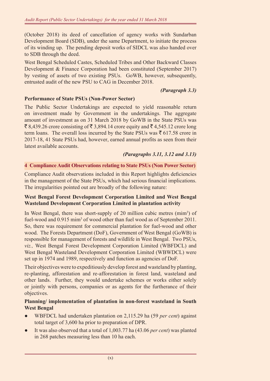(October 2018) its deed of cancellation of agency works with Sundarban Development Board (SDB), under the same Department, to initiate the process of its winding up. The pending deposit works of SIDCL was also handed over to SDB through the deed.

West Bengal Scheduled Castes, Scheduled Tribes and Other Backward Classes Development & Finance Corporation had been constituted (September 2017) by vesting of assets of two existing PSUs. GoWB, however, subsequently, entrusted audit of the new PSU to CAG in December 2018.

#### *(Paragraph 3.3)*

### **Performance of State PSUs (Non-Power Sector)**

The Public Sector Undertakings are expected to yield reasonable return on investment made by Government in the undertakings. The aggregate amount of investment as on 31 March 2018 by GoWB in the State PSUs was  $\bar{\xi}$  8,439.26 crore consisting of  $\bar{\xi}$  3,894.14 crore equity and  $\bar{\xi}$  4,545.12 crore long term loans. The overall loss incurred by the State PSUs was  $\bar{z}$  617.58 crore in 2017-18, 41 State PSUs had, however, earned annual profits as seen from their latest available accounts.

### *(Paragraphs 3.11, 3.12 and 3.13)*

#### **4 Compliance Audit Observations relating to State PSUs (Non Power Sector)**

Compliance Audit observations included in this Report highlights deficiencies in the management of the State PSUs, which had serious financial implications. The irregularities pointed out are broadly of the following nature:

### **West Bengal Forest Development Corporation Limited and West Bengal Wasteland Development Corporation Limited in plantation activity**

In West Bengal, there was short-supply of 20 million cubic metres (mim<sup>3</sup>) of fuel-wood and 0.915 mim<sup>3</sup> of wood other than fuel wood as of September 2011. So, there was requirement for commercial plantation for fuel-wood and other wood. The Forests Department (DoF), Government of West Bengal (GoWB) is responsible for management of forests and wildlife in West Bengal. Two PSUs, *viz.,* West Bengal Forest Development Corporation Limited (WBFDCL) and West Bengal Wasteland Development Corporation Limited (WBWDCL) were set up in 1974 and 1989, respectively and function as agencies of DoF.

Their objectives were to expeditiously develop forest and wasteland by planting, re-planting, afforestation and re-afforestation in forest land, wasteland and other lands. Further, they would undertake schemes or works either solely or jointly with persons, companies or as agents for the furtherance of their objectives.

#### **Planning/ implementation of plantation in non-forest wasteland in South West Bengal**

- WBFDCL had undertaken plantation on 2,115.29 ha (59 *per cent*) against total target of 3,600 ha prior to preparation of DPR.
- It was also observed that a total of 1,003.77 ha (43.06 *per cent*) was planted in 268 patches measuring less than 10 ha each.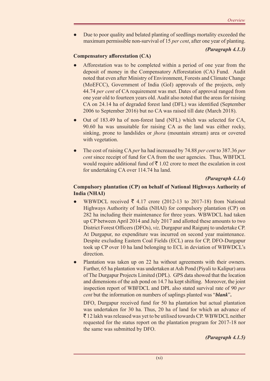Due to poor quality and belated planting of seedlings mortality exceeded the maximum permissible non-survival of 15 *per cent*, after one year of planting.

## *(Paragraph 4.1.3)*

## **Compensatory afforestation (CA)**

- Afforestation was to be completed within a period of one year from the deposit of money in the Compensatory Afforestation (CA) Fund. Audit noted that even after Ministry of Environment, Forests and Climate Change (MoEFCC), Government of India (GoI) approvals of the projects, only 44.74 *per cent* of CA requirement was met. Dates of approval ranged from one year old to fourteen years old. Audit also noted that the areas for raising CA on 24.14 ha of degraded forest land (DFL) was identified (September 2006 to September 2016) but no CA was raised till date (March 2018).
- Out of 183.49 ha of non-forest land (NFL) which was selected for CA, 90.60 ha was unsuitable for raising CA as the land was either rocky, sinking, prone to landslides or *jhora* (mountain stream) area or covered with vegetation.
- The cost of raising CA *per* ha had increased by 74.88 *per cent* to 387.36 *per cent* since receipt of fund for CA from the user agencies. Thus, WBFDCL would require additional fund of  $\bar{\mathfrak{F}}$  1.02 crore to meet the escalation in cost for undertaking CA over 114.74 ha land.

*(Paragraph 4.1.4)*

## **Compulsory plantation (CP) on behalf of National Highways Authority of India (NHAI)**

- WBWDCL received  $\bar{\xi}$  4.17 crore (2012-13 to 2017-18) from National Highways Authority of India (NHAI) for compulsory plantation (CP) on 282 ha including their maintenance for three years. WBWDCL had taken up CP between April 2014 and July 2017 and allotted these amounts to two District Forest Officers (DFOs), *viz,* Durgapur and Raigunj to undertake CP. At Durgapur, no expenditure was incurred on second year maintenance. Despite excluding Eastern Coal Fields (ECL) area for CP, DFO-Durgapur took up CP over 10 ha land belonging to ECL in deviation of WBWDCL's direction.
- Plantation was taken up on 22 ha without agreements with their owners. Further, 65 ha plantation was undertaken at Ash Pond (Piyali to Kalipur) area of The Durgapur Projects Limited (DPL). GPS data showed that the location and dimensions of the ash pond on 14.7 ha kept shifting. Moreover, the joint inspection report of WBFDCL and DPL also stated survival rate of 90 *per cent* but the information on numbers of saplings planted was "*blank*"**.**

DFO, Durgapur received fund for 50 ha plantation but actual plantation was undertaken for 30 ha. Thus, 20 ha of land for which an advance of  $\bar{\tau}$  12 lakh was released was yet to be utilised towards CP. WBWDCL neither requested for the status report on the plantation program for 2017-18 nor the same was submitted by DFO.

*(Paragraph 4.1.5)*